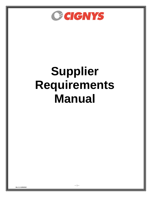

# **Supplier Requirements Manual**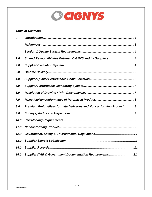

# *Table of Contents*

| L    |                                                                     |
|------|---------------------------------------------------------------------|
|      |                                                                     |
|      |                                                                     |
| 1.0  | Shared Responsibilities Between CIGNYS and its Suppliers  4         |
| 2.0  |                                                                     |
| 3.0  |                                                                     |
| 4.0  |                                                                     |
| 5.0  |                                                                     |
| 6.0  |                                                                     |
| 7.0  |                                                                     |
| 8.0  | Premium Freight/Fees for Late Deliveries and Nonconforming Product8 |
| 9.0  |                                                                     |
| 10.0 |                                                                     |
| 11.0 |                                                                     |
| 12.0 |                                                                     |
| 13.0 |                                                                     |
| 14.0 |                                                                     |
| 15.0 | Supplier ITAR & Government Documentation Requirements11             |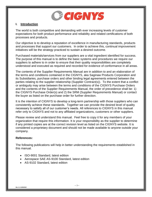

# **I. Introduction**

The world is both competitive and demanding with ever increasing levels of customer expectations for both product performance and reliability and related certifications of both processes and products.

Our objective is to develop a reputation of excellence in manufacturing standards, products and processes that support our customers. In order to achieve this, continual improvement initiatives will be the strategy practiced to sustain a desired outcome.

Purchased materials/services from our suppliers are a vital ingredient identified for success. The purpose of this manual is to define the basic systems and procedures we require our suppliers to adhere to in order to ensure that their quality responsibilities are completely understood and executed as required and recorded for evidence of conformance in all areas.

The contents of the Supplier Requirements Manual are in addition to and an elaboration of the terms and conditions contained in the CIGNYS, aka Saginaw Products Corporation and its Subsidiaries, purchase orders and other binding legal agreements entered between the parties relating to the supplier relationship (Supplier Contract(s)). To the extent that a conflict or ambiguity may arise between the terms and conditions of the CIGNYS Purchase Orders and the contents of the Supplier Requirements Manual, the order of precedence shall be: 1) the CIGNYS Purchase Order(s) and 2) the SRM (Supplier Requirements Manual) or contact the buyer as listed on the purchase order for further direction.

It is the intention of CIGNYS to develop a long-term partnership with those suppliers who can consistently achieve these standards. Together we can provide the desired level of quality necessary to satisfy all of our customer's needs. All references to CIGNYS in this manual refer only to CIGNYS and not to any affiliated organizations, customers or other suppliers.

Please review and understand this manual. Feel free to copy it for any members of your organization that require this information. It is your responsibility as the supplier to determine if any printed copies are at the correct revision level as listed on the CIGNYS website. It is considered a proprietary document and should not be made available to anyone outside your company.

# **References:**

The following publications will help in better understanding the requirements established in this manual.

- ISO-9001 Standard, latest edition
- Aerospace SAE AS-9100 Standard, latest edition
- AS-9102 Standard, latest edition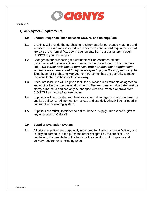

# **Section 1**

# **Quality System Requirements**

# **1.0 Shared Responsibilities between CIGNYS and its suppliers**

- 1.1 CIGNYS will provide the purchasing requirements for purchased materials and services. This information includes specifications and record requirements that are part of the normal flow down requirements from our customers through CIGNYS to you, the supplier.
- 1.2 Changes to our purchasing requirements will be documented and communicated to you in a timely manner by the buyer listed on the purchase order. *No verbal revisions to purchase order or document requirements will be honored nor should they be accepted by you the supplier*. Only the listed buyer or Purchasing Management Personnel has the authority to make revisions to the purchase order in anyway.
- 1.3 Adequate lead time will be given to fill the purchase requirements as agreed to and outlined in our purchasing documents. The lead time and due date must be strictly adhered to and can only be changed with documented approval from CIGNYS Purchasing Representative.
- 1.4 Suppliers will be provided with feedback information regarding nonconformance and late deliveries. All non-conformances and late deliveries will be included in our supplier monitoring system.
- 1.5 Suppliers are strictly forbidden to entice, bribe or supply unreasonable gifts to any employee of CIGNYS

# **2.0 Supplier Evaluation System**

2.1 All critical suppliers are perpetually monitored for Performance on Delivery and Quality as agreed to in the purchase order accepted by the supplier. The purchasing documents form the basis for the specific product, quality and delivery requirements including price.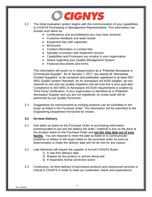

- 2.2 The initial evaluation system begins with the communication of your capabilities to CIGNYS Purchasing or Management Representative. This information can include such items as:
	- Certifications and accreditations you may have received
	- Customer feedback and audit results
	- Equipment lists with capacities
	- Brochures
	- Contact information or contact lists
	- Samples of product with inspection records
	- Capabilities and Processes you employ in your organization
	- Status regarding your Quality Management System.
	- Financial documents and forms.

This information will assist us in categorization as a "Potential Aerospace or Commercial Supplier". As of January 1, 2011, we require all "Aerospace Content Suppliers" to be compliant and preferably registered to at least ISO-9001 Quality System Standard. As an Aerospace AS-9100 supplier, we are required to use only top Quality Suppliers and we trust this is your goal also. Compliance to ISO-9001 or Aerospace AS-9100 requirements is evident by Third Party Certification. If your organization is identified as a "Potential" Aerospace Supplier and you are not registered, an onsite audit will be performed by our Quality Personnel.

2.3 Suggestions for improvements to existing products can be submitted to the buyer as listed in the Purchase Order. The information will be submitted to the Engineering Department Personnel for review.

#### **3.0 On-time Delivery**

- 3.1 Due dates as listed on the Purchase Order or purchasing information communicated to you are the date(s) the order / material is due on the dock at the location listed on the Purchase Order and **not the ship date out of your facility.** You are required to meet the date as listed or to communicate problems or delays to the buyer listed on the purchase order as soon as determination is made the delivery date will not be met for any reason.
- 3.2 Late deliveries will require the supplier to furnish CIGNYS Buyer:
	- 1) A new firm delivery date
	- 2) Reason for the product or service being late
	- 3) If requested, formal corrective action
- 3.3 Continuous, on-time delivery of purchased products and outsourced services is critical to CIGNYS in order to meet our customers' needs and expectations.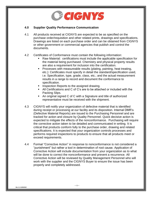

# **4.0 Supplier Quality Performance Communication**

4.1 All products received at CIGNYS are expected to be as specified on the purchase order/requisition and other related prints, drawings and specifications. Drawings are listed on each purchase order and can be obtained from CIGNYS or other government or commercial agencies that publish and control the documents.

# 4.2 Certificates of Conformance must contain the following information:

- Raw Material: certifications must include the applicable specification for the material being purchased. Chemistry and physical property results are also a requirement for inclusion into the certification.
- Processes with measureable results (plating, painting, heat treating, etc.): Certificates must specify in detail the standard/specification used, i.e. Specification, type, grade, class, etc.; and the actual measurement results in a range to record and document the conformance to specification.
- **EXECT** Inspection Reports to the assigned drawing.
- $\blacksquare$  All Certifications and C of C's are to be attached or included with the Packing Slips.
- An original signed C of C with a Signature and title of authorized representative must be received with the shipment.
- 4.3 CIGNYS will notify your organization of defective material that is identified during receipt or processing at our facility and its disposition. Internal DMR's (Defective Material Reports) are issued to the Purchasing Personnel and are tracked for action and closure by Quality Personnel. Quick decisive action is expected to mitigate the effects of the nonconformance. Purchasing will require the corrective action taken to be detailed and communicated in writing. It is critical that products conform fully to the purchase order, drawing and related specifications. It is expected that your organization controls processes and performs required inspections to products to ensure that all products meet or exceed requirements.
- 4.4 Formal "Corrective Action" in response to nonconformance is not considered a "punishment" but rather a tool in determination of root cause. Application of Corrective Action will include documentation from your organization as to what will be done to correct the nonconformance and prevent a recurrence. All Corrective Action will be reviewed by Quality Management Personnel who will work with the supplier and the CIGNYS Buyer to ensure the issue has been properly and completely addressed.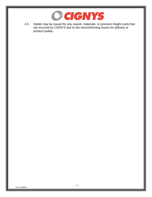

4.5 Debits may be issued for any rework, materials, or premium freight costs that are incurred by CIGNYS due to the nonconforming issues for delivery or product quality.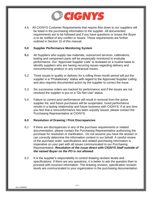

4.6 All CIGNYS Customer Requirements that require flow down to our suppliers will be listed in the purchasing information to the supplier. All documented requirements are to be followed and if you have questions or issues the Buyer is to be notified of any conflict or issues. These requirements are further outlined in Section 15 of this manual.

### **5.0 Supplier Performance Monitoring System**

- **5.1** All Suppliers who supply raw materials, outsourced services, calibrations, testing and component parts will be perpetually monitored to evaluate performance. Our "Approved Supplier Lists" is reviewed on a routine basis to identify suppliers who are having recurring issues regarding delivery and nonconforming product or any contractual issues.
- 5.2 Three issues in quality or delivery for a rolling three month period will put the supplier in a "Probationary" status with regard to the Approved Supplier Listing and also requires documented action by the supplier to correct the issue.
- 5.3 Six successive orders are tracked for performance and if the issues are not resolved the supplier is put on a "Do Not Use" status.
- 5.4 Failure to correct poor performance will result in removal from the active supplier list, and future purchases will be suspended. Good performance results in a lasting relationship and future business with CIGNYS. If at any time you feel that a nonconformance has been unjustly issued, please contact the Purchasing Representative at CIGNYS.

#### **6.0 Resolution of Drawing / Print Discrepancies**

- *6.1* If there are discrepancies in any of the purchase requirements or related documentation, please contact the Purchasing Representative authorizing the purchase for resolution or clarification. Do not assume you have the answer or can correctly determine the information content in our behalf. A careful review of the purchase order, specifications and related purchasing information is imperative on your part with all issues communicated to our Purchasing Representative. *Resolution of the issue direct with CIGNYS Staff outside of the named Buyer on the PO is not allowed.*
- 6.2 It is the supplier's responsibility to control drawing revision levels and specifications. If there are any questions, it is better to ask the question than to proceed with incorrect information. The drawing revision, specification revision levels are communicated to your organization in the purchasing documentation.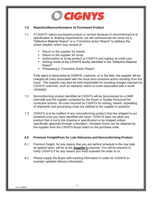

# **7.0 Rejection/Nonconformance of Purchased Product**

- 7.1 If CIGNYS rejects purchased product or service because of nonconformance to specification or drawing requirements, we will communicate the issue via a "Defective Material Report" or a "Corrective Action Report" to address the action needed, which may consist of:
	- Return to the supplier for rework
	- Return to the supplier for scrap
	- Authorization to scrap product at CIGNYS and replace at credit cost.
	- Sorting onsite at the CIGNYS facility identified in the "Defective Material Report"
	- Processing a "Corrective Action Report"

If the reject is discovered at CIGNYS' customer, or in the field, the supplier will be charged all costs associated with the issue and corrective action resulting from the issue. The supplier may also be held responsible for resulting charges imposed by CIGNYS customer, such as warranty claims or costs associated with a recall campaign.

- 7.2 Nonconforming product identified at CIGNYS will be documented on a DMR internally and the supplier contacted by the Buyer or Quality Personnel for corrective actions. All costs incurred by CIGNYS for sorting, rework, expediting of shipments and processing costs are debited to the supplier in question.
- 7.3 CIGNYS is to be notified of any nonconforming product that has shipped to our locations once you have identified the issue. CIGNYS does not allow any product that is not to the drawing or specification to be shipped unless specifically approved through a deviation. Deviation forms can be obtained by the supplier from the CIGNYS Buyer listed on the purchase order.

# **8.0 Premium Freight/Fees for Late Deliveries and Nonconforming Product**

- 8.1 Premium freight, for any reason that you are behind schedule to the due date as agreed upon, will be at the *Supplier's* expense. You will be required to notify CIGNYS if for any reason you must expedite the order to us.
- 8.2 Please supply the Buyer with tracking information in order for CIGNYS to maintain updated delivery information.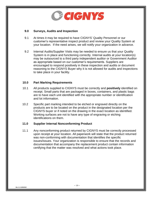

#### **9.0 Surveys, Audits and Inspection**

- 9.1 At times it may be required to have CIGNYS' Quality Personnel or our customer's representative inspect product and review your Quality System at your location. If the need arises, we will notify your organization in advance.
- 9.2 Internal Audits/Supplier Visits may be needed to ensure us that your Quality System is in place and functioning correctly. Internal audits at your location(s) may be outsourced to a third party independent auditor or Government Auditor as appropriate based on our customer's requirements. Suppliers are encouraged to respond positively in these inspection and audits or document reasoning to the CIGNYS Buyer why it is not allowed for audits and inspections to take place in your facility.

#### **10.0 Part Marking Requirements**

- 10.1 All products supplied to CIGNYS must be correctly and **positively** identified on receipt. Small parts that are packaged in boxes, containers, and plastic bags are to have each unit identified with the appropriate number or identification and lot information.
- 10.2 Specific part marking intended to be etched or engraved directly on the products are to be located on the product in the designated location per the CIGNYS buyer or if noted on the drawing in the exact location as identified. Working surfaces are not to have any type of engraving or etching identifications on them.

# **11.0 Supplier Internal Nonconforming Product**

11.1 Any nonconforming product returned by CIGNYS must be correctly processed upon receipt at your location. All paperwork will state that the product returned was non-conforming with documentation that identifies the specific issues/issues. Your organization is responsible to ensure that the records and documentation that accompany the replacement product contain information certifying that the matter was resolved and what actions took place.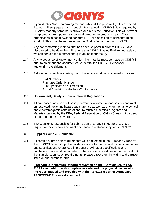

- 11.2 If you identify Non-Conforming material while still in your facility, it is expected that you will segregate it and control it from affecting CIGNYS. It is required by CIGNYS that any scrap be destroyed and rendered unusable. This will prevent scrap product from potentially being allowed in the product stream. Your organization is not allowed to conduct MRB or disposition to nonconforming Product. This must be requested to the Quality Department at CIGNYS.
- 11.3 Any nonconforming material that has been shipped in error to CIGNYS and discovered to be defective will require that CIGNYS be notified immediately so we can contain the material and quarantine it our facility.
- 11.4 Any acceptance of known non-conforming material must be made by CIGNYS prior to shipment and documented to identify the CIGNYS Personnel authorizing the shipment.
- 11.5 A document specifically listing the following information is required to be sent:
	- Part Numbers
	- Purchase Order Number
	- Print Specification / Dimension
	- Actual Condition of the Non-Conformance

#### **12.0 Government, Safety & Environmental Regulations**

- 12.1 All purchased materials will satisfy current governmental and safety constraints on restricted, toxic and hazardous materials as well as environmental, electrical and electromagnetic considerations. Restricted Chemicals, Agents and Materials banned by the EPA, Federal Regulation or CIGNYS may not be used or incorporated into any orders.
- 12.3 The supplier is responsible for submission of an SDS sheet to CIGNYS on request or for any new shipment or change in material supplied to CIGNYS.

#### **13.0 Supplier Sample Submission**

13.1 All sample submission requirements will be directed in the Purchase Order by the CIGNYS Buyer. Objective evidence of conformance to all dimensions, notes and specifications referenced in product drawings or specifications and purchase orders must be recorded. If there are any questions or concerns about the Sample submission requirements, please direct them in writing to the Buyer listed on the purchase order.

#### 13.2 **First Article Inspection Reports requested on the PO must use the AS 9102 Latest edition with complete records and the physical part used in the report tagged and provided with the AS 9102 report or Aerospace APQP/PPAP Process if specified.**